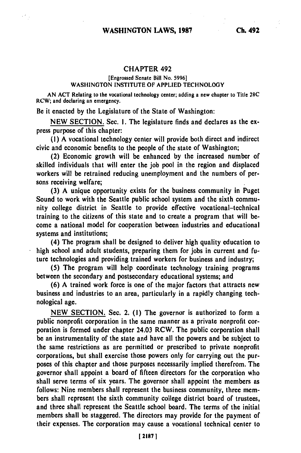## CHAPTER 492

## [Engrossed Senate Bill No. **5996]** WASHINGTON **INSTITUTE** OF **APPLIED TECHNOLOGY**

**AN ACT** Relating to the vocational technology center; adding a new chapter to Title **28C** RCW; and declaring an emergency.

Be it enacted **by** the Legislature of the State of Washington:

**NEW SECTION.** Sec. **1.** The legislature finds and declares as the express purpose of this chapter:

**(1) A** vocational technology center will provide both direct and indirect civic and economic benefits to the people of the state of Washington;

(2) Economic growth will be enhanced **by** the increased number of skilled individuals that will enter the **job** pool in the region and displaced workers will be retrained reducing unemployment and the numbers of persons receiving welfare;

**(3) A** unique opportunity exists for the business community in Puget Sound to work with the Seattle public school system and the sixth community college district in Seattle to provide effective vocational-technical training to the citizens of this state and to create a program that will become a national model for cooperation between industries and educational systems and institutions;

(4) The program shall be designed to deliver high quality education to high school and adult students, preparing them for jobs in current and future technologies and providing trained workers for business and industry;

**(5)** The program will help coordinate technology training programs between the secondary and postsecondary educational systems; and

**(6) A** trained work force is one of the major factors that attracts new business and industries to an area, particularly in a rapidly changing technological age.

**NEW** SECTION. Sec. 2. **(1)** The governor is authorized to form a public nonprofit corporation in the same manner as a private nonprofit corporation is formed under chapter 24.03 RCW. The public corporation shall be an instrumentality of the state and have all the powers and be subject to the same restrictions as are permitted or prescribed to private nonprofit corporations, but shall exercise those powers only for carrying out the purposes of this chapter and those purposes necessarily implied therefrom. The governor shall appoint a board of fifteen directors for the corporation who shall serve terms of six years. The governor shall appoint the members as follows: Nine members shall represent the business community, three members shall represent the sixth community college district board of trustees, and three shall represent the Seattle school board. The terms of the initial members shall be staggered. The directors may provide for the payment of their expenses. The corporation may cause a vocational technical center to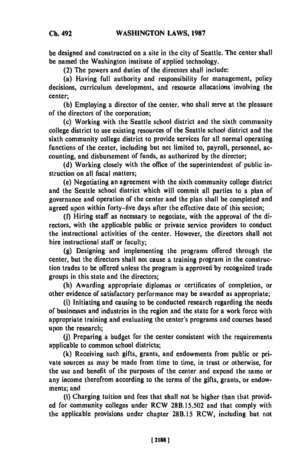**be** designed and constructed on a site in the city of Seattle. The center shall be named the Washington institute of applied technology.

(2) The powers and duties of the directors shall include:

(a) Having full authority and responsibility for management, policy decisions, curriculum development, and resource allocations 'involving the center;

**(b)** Employing a director of the center, who shall serve at the pleasure of the directors of the corporation;

(c) Working with the Seattle school district and the sixth community college district to use existing resources of the Seattle school district and the sixth community college district to provide services for all normal operating functions of the center, including but not limited to, payroll, personnel, accounting, and disbursement of funds, as authorized **by** the director;

**(d)** Working closely with the office of the superintendent of public instruction on all fiscal matters;

(e) Negotiating an agreement with the sixth community college district and the Seattle school district which will commit all parties to a plan of governance and operation of the center and the plan shall be completed and agreed upon within forty-five days after the effective date of this section;

**(f)** Hiring staff as necessary to negotiate, with the approval of the directors, with the applicable public or private service providers to conduct the instructional activities of the center. However, the directors shall not hire instructional staff or faculty;

**(g)** Designing and implementing the programs offered through the center, but the directors shall not cause a training program in the construction trades to be offered unless the program is approved **by** recognized trade groups in this state and the directors;

(h) Awarding appropriate diplomas or certificates of completion, or other evidence of satisfactory performance may be awarded as appropriate;

(i) Initiating and causing to be conducted research regarding the needs of businesses and industries in the region and the state for a work force with appropriate training and evaluating the center's programs and courses based upon the research;

**(j)** Preparing a budget for the center consistent with the requirements applicable to common school districts;

**(k)** Receiving such gifts, grants, and endowments from public or private sources as may be made from time to time, in trust or otherwise, for the use and benefit of the purposes of the center and expend the same or any income therefrom according to the terms of the gifts, grants, or endowments; and

**(1)** Charging tuition and fees that shall not be higher than that provid**ed** for community colleges under RCW **28B.15.502** and that comply with the applicable provisions under chapter **28B.15** RCW, including but not